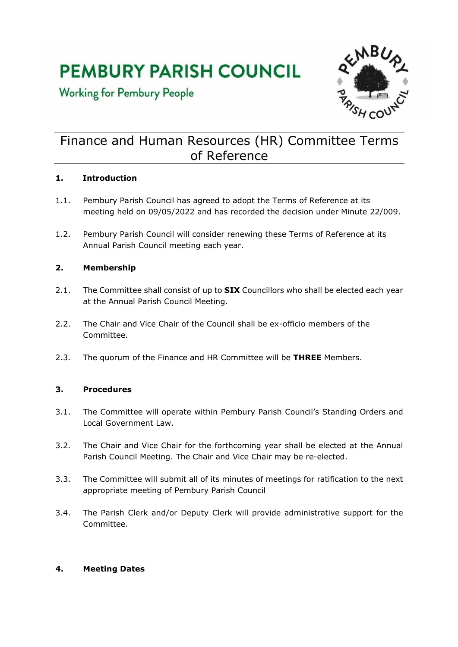# **PEMBURY PARISH COUNCIL**

**Working for Pembury People** 



# Finance and Human Resources (HR) Committee Terms of Reference

## **1. Introduction**

- 1.1. Pembury Parish Council has agreed to adopt the Terms of Reference at its meeting held on 09/05/2022 and has recorded the decision under Minute 22/009.
- 1.2. Pembury Parish Council will consider renewing these Terms of Reference at its Annual Parish Council meeting each year.

## **2. Membership**

- 2.1. The Committee shall consist of up to **SIX** Councillors who shall be elected each year at the Annual Parish Council Meeting.
- 2.2. The Chair and Vice Chair of the Council shall be ex-officio members of the Committee.
- 2.3. The quorum of the Finance and HR Committee will be **THREE** Members.

#### **3. Procedures**

- 3.1. The Committee will operate within Pembury Parish Council's Standing Orders and Local Government Law.
- 3.2. The Chair and Vice Chair for the forthcoming year shall be elected at the Annual Parish Council Meeting. The Chair and Vice Chair may be re-elected.
- 3.3. The Committee will submit all of its minutes of meetings for ratification to the next appropriate meeting of Pembury Parish Council
- 3.4. The Parish Clerk and/or Deputy Clerk will provide administrative support for the Committee.

#### **4. Meeting Dates**